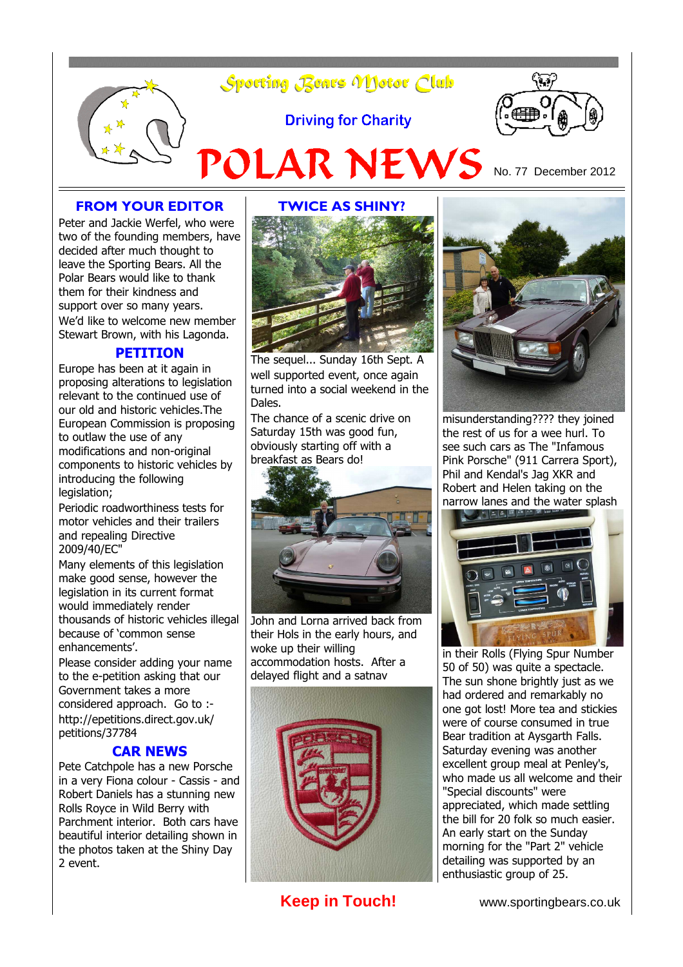

### **FROM YOUR EDITOR**

Peter and Jackie Werfel, who were two of the founding members, have decided after much thought to leave the Sporting Bears. All the Polar Bears would like to thank them for their kindness and support over so many years. We'd like to welcome new member Stewart Brown, with his Lagonda.

### **PETITION**

Europe has been at it again in proposing alterations to legislation relevant to the continued use of our old and historic vehicles.The European Commission is proposing to outlaw the use of any modifications and non-original components to historic vehicles by introducing the following legislation;

Periodic roadworthiness tests for motor vehicles and their trailers and repealing Directive 2009/40/EC"

Many elements of this legislation make good sense, however the legislation in its current format would immediately render thousands of historic vehicles illegal because of 'common sense enhancements'.

Please consider adding your name to the e-petition asking that our Government takes a more considered approach. Go to : http://epetitions.direct.gov.uk/ petitions/37784

#### **CAR NEWS**

Pete Catchpole has a new Porsche in a very Fiona colour - Cassis - and Robert Daniels has a stunning new Rolls Royce in Wild Berry with Parchment interior. Both cars have beautiful interior detailing shown in the photos taken at the Shiny Day 2 event.



The sequel... Sunday 16th Sept. A well supported event, once again turned into a social weekend in the Dales.

The chance of a scenic drive on Saturday 15th was good fun, obviously starting off with a breakfast as Bears do!



John and Lorna arrived back from their Hols in the early hours, and woke up their willing accommodation hosts. After a delayed flight and a satnav





misunderstanding???? they joined the rest of us for a wee hurl. To see such cars as The "Infamous Pink Porsche" (911 Carrera Sport), Phil and Kendal's Jag XKR and Robert and Helen taking on the narrow lanes and the water splash



in their Rolls (Flying Spur Number 50 of 50) was quite a spectacle. The sun shone brightly just as we had ordered and remarkably no one got lost! More tea and stickies were of course consumed in true Bear tradition at Aysgarth Falls. Saturday evening was another excellent group meal at Penley's, who made us all welcome and their "Special discounts" were appreciated, which made settling the bill for 20 folk so much easier. An early start on the Sunday morning for the "Part 2" vehicle detailing was supported by an enthusiastic group of 25.

**Keep in Touch!** www.sportingbears.co.uk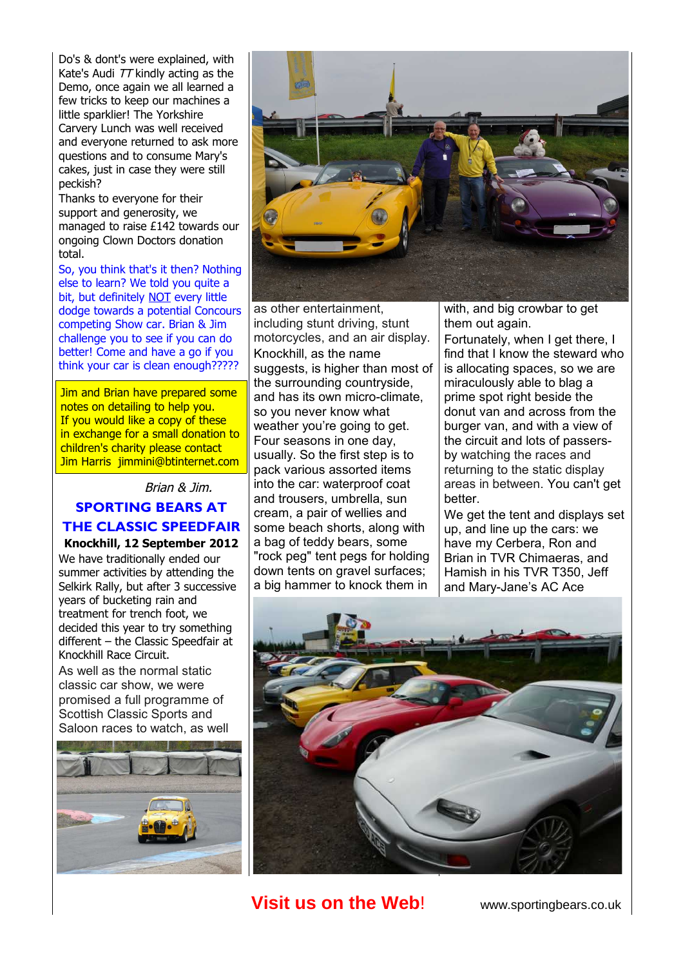Do's & dont's were explained, with Kate's Audi TT kindly acting as the Demo, once again we all learned a few tricks to keep our machines a little sparklier! The Yorkshire Carvery Lunch was well received and everyone returned to ask more questions and to consume Mary's cakes, just in case they were still peckish?

Thanks to everyone for their support and generosity, we managed to raise £142 towards our ongoing Clown Doctors donation total.

So, you think that's it then? Nothing else to learn? We told you quite a bit, but definitely NOT every little dodge towards a potential Concours competing Show car. Brian & Jim challenge you to see if you can do better! Come and have a go if you think your car is clean enough?????

Jim and Brian have prepared some notes on detailing to help you. If you would like a copy of these in exchange for a small donation to children's charity please contact Jim Harris jimmini@btinternet.com

### Brian & Jim.

### **SPORTING BEARS AT THE CLASSIC SPEEDFAIR Knockhill, 12 September 2012**

We have traditionally ended our summer activities by attending the Selkirk Rally, but after 3 successive years of bucketing rain and treatment for trench foot, we decided this year to try something different – the Classic Speedfair at Knockhill Race Circuit.

As well as the normal static classic car show, we were promised a full programme of Scottish Classic Sports and Saloon races to watch, as well





as other entertainment, including stunt driving, stunt motorcycles, and an air display. Knockhill, as the name suggests, is higher than most of the surrounding countryside, and has its own micro-climate, so you never know what weather you're going to get. Four seasons in one day, usually. So the first step is to pack various assorted items into the car: waterproof coat and trousers, umbrella, sun cream, a pair of wellies and some beach shorts, along with a bag of teddy bears, some "rock peg" tent pegs for holding down tents on gravel surfaces; a big hammer to knock them in

with, and big crowbar to get them out again.

Fortunately, when I get there, I find that I know the steward who is allocating spaces, so we are miraculously able to blag a prime spot right beside the donut van and across from the burger van, and with a view of the circuit and lots of passersby watching the races and returning to the static display areas in between. You can't get better.

We get the tent and displays set up, and line up the cars: we have my Cerbera, Ron and Brian in TVR Chimaeras, and Hamish in his TVR T350, Jeff and Mary-Jane's AC Ace



# **Visit us on the Web!** www.sportingbears.co.uk